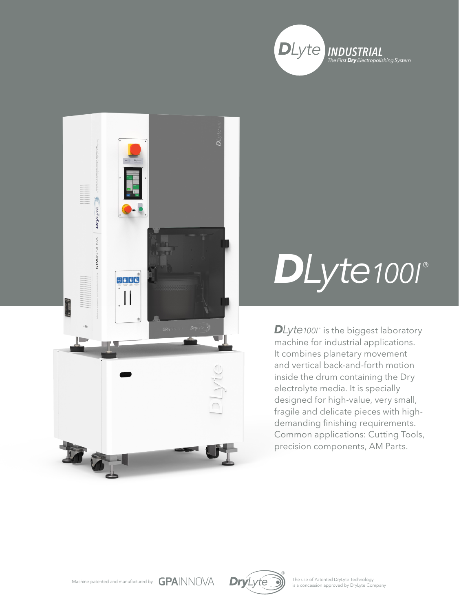



## *DLyte100I* ®

**DLyte**1001° is the biggest laboratory machine for industrial applications. It combines planetary movement and vertical back-and-forth motion inside the drum containing the Dry electrolyte media. It is specially designed for high-value, very small, fragile and delicate pieces with highdemanding finishing requirements. Common applications: Cutting Tools, precision components, AM Parts.





The use of Patented DryLyte Technology<br>is a concession approved by DryLyte Company